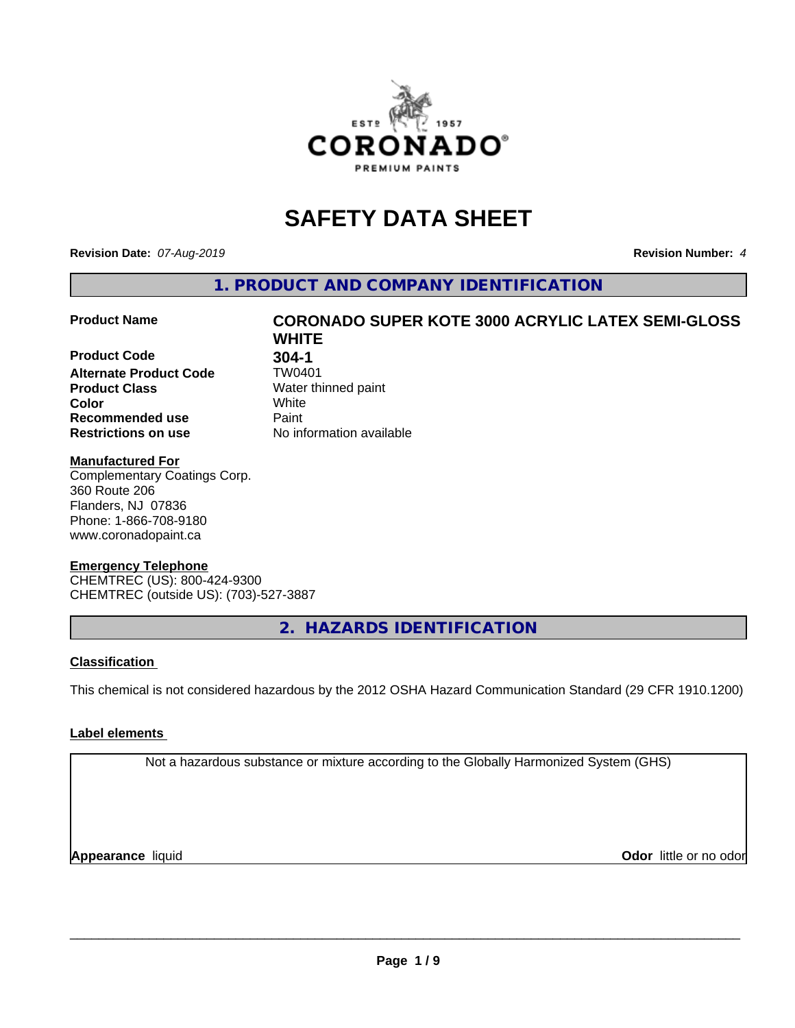

# **SAFETY DATA SHEET**

**Revision Date:** *07-Aug-2019* **Revision Number:** *4*

**1. PRODUCT AND COMPANY IDENTIFICATION**

**Product Code <br>
Alternate Product Code 1997 TW0401 Alternate Product Code**<br>Product Class **Product Class** Water thinned paint<br> **Color** White **Color** White **Recommended use Caint Restrictions on use** No information available

# **Product Name CORONADO SUPER KOTE 3000 ACRYLIC LATEX SEMI-GLOSS WHITE**

# **Manufactured For**

Complementary Coatings Corp. 360 Route 206 Flanders, NJ 07836 Phone: 1-866-708-9180 www.coronadopaint.ca

# **Emergency Telephone**

CHEMTREC (US): 800-424-9300 CHEMTREC (outside US): (703)-527-3887

**2. HAZARDS IDENTIFICATION**

# **Classification**

This chemical is not considered hazardous by the 2012 OSHA Hazard Communication Standard (29 CFR 1910.1200)

# **Label elements**

Not a hazardous substance or mixture according to the Globally Harmonized System (GHS)

**Appearance** liquid **Odor**  little or no odor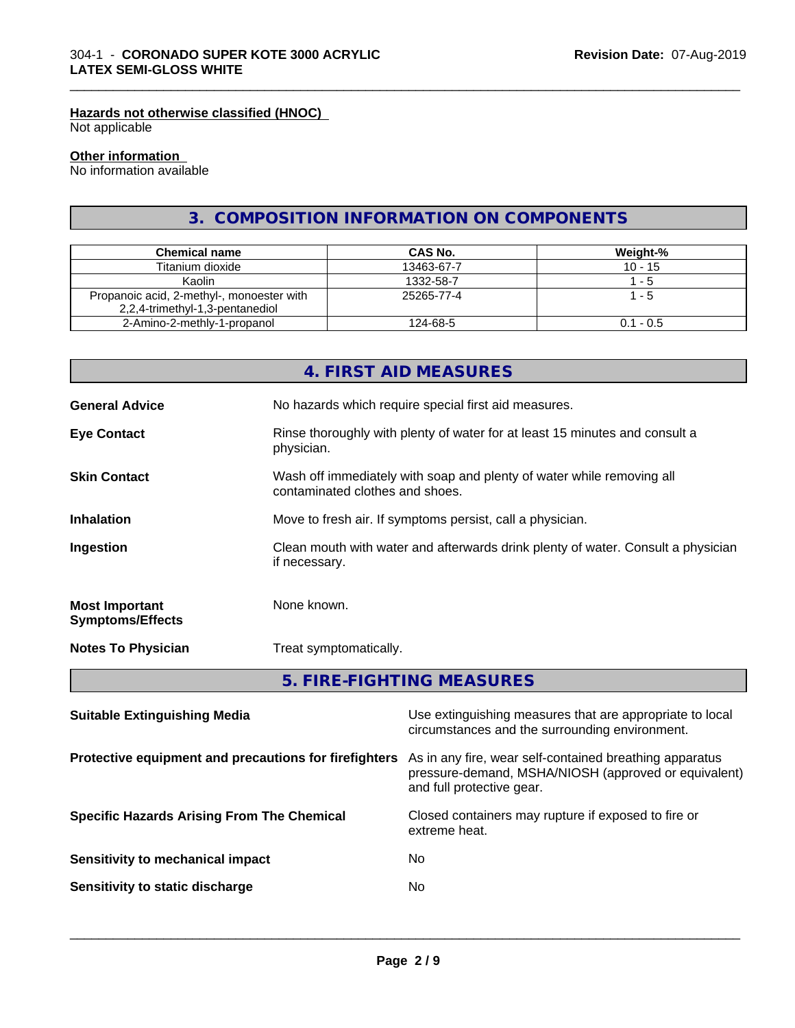# **Hazards not otherwise classified (HNOC)**

Not applicable

#### **Other information**

No information available

# **3. COMPOSITION INFORMATION ON COMPONENTS**

\_\_\_\_\_\_\_\_\_\_\_\_\_\_\_\_\_\_\_\_\_\_\_\_\_\_\_\_\_\_\_\_\_\_\_\_\_\_\_\_\_\_\_\_\_\_\_\_\_\_\_\_\_\_\_\_\_\_\_\_\_\_\_\_\_\_\_\_\_\_\_\_\_\_\_\_\_\_\_\_\_\_\_\_\_\_\_\_\_\_\_\_\_

| <b>Chemical name</b>                                                         | <b>CAS No.</b> | Weight-%    |
|------------------------------------------------------------------------------|----------------|-------------|
| Titanium dioxide                                                             | 13463-67-7     | $10 - 15$   |
| Kaolin                                                                       | 1332-58-7      | - 5         |
| Propanoic acid, 2-methyl-, monoester with<br>2,2,4-trimethyl-1,3-pentanediol | 25265-77-4     | - 5         |
| 2-Amino-2-methly-1-propanol                                                  | 124-68-5       | $0.1 - 0.5$ |

|                                                  | 4. FIRST AID MEASURES                                                                                    |  |  |
|--------------------------------------------------|----------------------------------------------------------------------------------------------------------|--|--|
| <b>General Advice</b>                            | No hazards which require special first aid measures.                                                     |  |  |
| <b>Eye Contact</b>                               | Rinse thoroughly with plenty of water for at least 15 minutes and consult a<br>physician.                |  |  |
| <b>Skin Contact</b>                              | Wash off immediately with soap and plenty of water while removing all<br>contaminated clothes and shoes. |  |  |
| <b>Inhalation</b>                                | Move to fresh air. If symptoms persist, call a physician.                                                |  |  |
| Ingestion                                        | Clean mouth with water and afterwards drink plenty of water. Consult a physician<br>if necessary.        |  |  |
| <b>Most Important</b><br><b>Symptoms/Effects</b> | None known.                                                                                              |  |  |
| <b>Notes To Physician</b>                        | Treat symptomatically.                                                                                   |  |  |
|                                                  | 5. FIRE-FIGHTING MEASURES                                                                                |  |  |

| Use extinguishing measures that are appropriate to local<br>circumstances and the surrounding environment.                                                                                            |
|-------------------------------------------------------------------------------------------------------------------------------------------------------------------------------------------------------|
| As in any fire, wear self-contained breathing apparatus<br>Protective equipment and precautions for firefighters<br>pressure-demand, MSHA/NIOSH (approved or equivalent)<br>and full protective gear. |
| Closed containers may rupture if exposed to fire or<br>extreme heat.                                                                                                                                  |
| No.                                                                                                                                                                                                   |
| No                                                                                                                                                                                                    |
|                                                                                                                                                                                                       |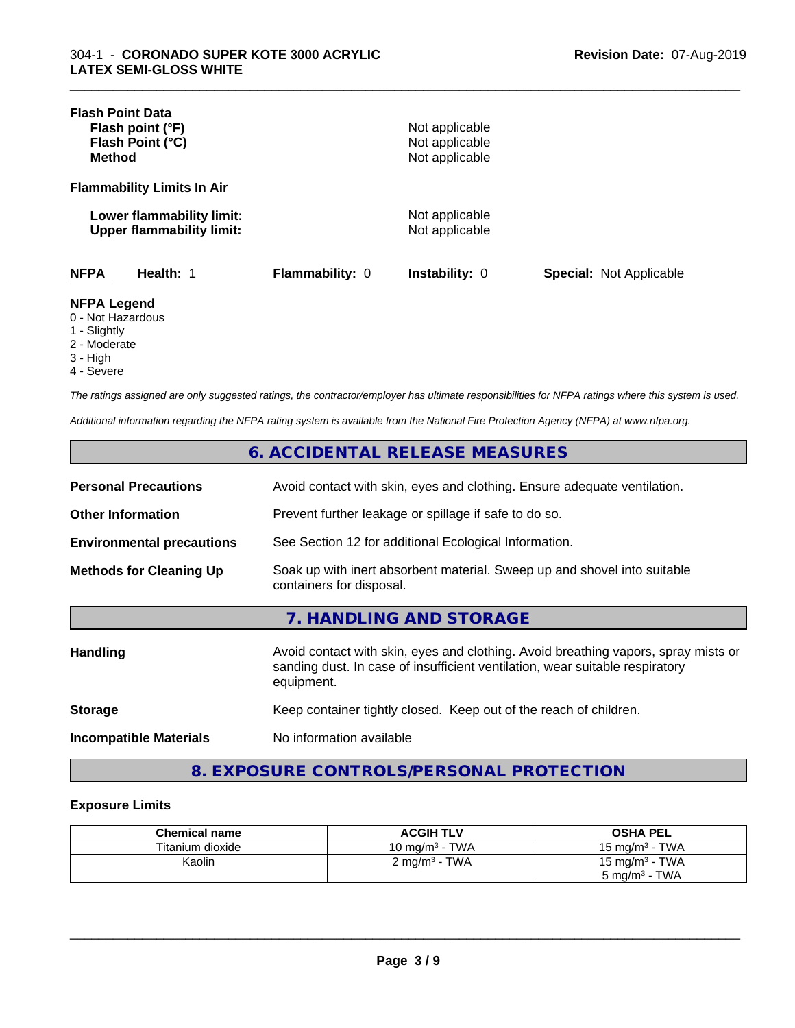| <b>Flash Point Data</b><br>Flash point (°F)<br>Flash Point (°C)<br><b>Method</b> |                 | Not applicable<br>Not applicable<br>Not applicable |                                |
|----------------------------------------------------------------------------------|-----------------|----------------------------------------------------|--------------------------------|
| <b>Flammability Limits In Air</b>                                                |                 |                                                    |                                |
| Lower flammability limit:<br><b>Upper flammability limit:</b>                    |                 | Not applicable<br>Not applicable                   |                                |
| <b>NFPA</b><br>Health: 1                                                         | Flammability: 0 | <b>Instability: 0</b>                              | <b>Special: Not Applicable</b> |
| <b>NFPA Legend</b><br>0 - Not Hazardous<br>1 - Slightly<br>2 - Moderate          |                 |                                                    |                                |

\_\_\_\_\_\_\_\_\_\_\_\_\_\_\_\_\_\_\_\_\_\_\_\_\_\_\_\_\_\_\_\_\_\_\_\_\_\_\_\_\_\_\_\_\_\_\_\_\_\_\_\_\_\_\_\_\_\_\_\_\_\_\_\_\_\_\_\_\_\_\_\_\_\_\_\_\_\_\_\_\_\_\_\_\_\_\_\_\_\_\_\_\_

- 
- 3 High
- 4 Severe

*The ratings assigned are only suggested ratings, the contractor/employer has ultimate responsibilities for NFPA ratings where this system is used.*

*Additional information regarding the NFPA rating system is available from the National Fire Protection Agency (NFPA) at www.nfpa.org.*

# **6. ACCIDENTAL RELEASE MEASURES**

| <b>Personal Precautions</b>      | Avoid contact with skin, eyes and clothing. Ensure adequate ventilation.                             |
|----------------------------------|------------------------------------------------------------------------------------------------------|
| <b>Other Information</b>         | Prevent further leakage or spillage if safe to do so.                                                |
| <b>Environmental precautions</b> | See Section 12 for additional Ecological Information.                                                |
| <b>Methods for Cleaning Up</b>   | Soak up with inert absorbent material. Sweep up and shovel into suitable<br>containers for disposal. |

# **7. HANDLING AND STORAGE**

| <b>Handling</b>               | Avoid contact with skin, eyes and clothing. Avoid breathing vapors, spray mists or<br>sanding dust. In case of insufficient ventilation, wear suitable respiratory<br>equipment. |
|-------------------------------|----------------------------------------------------------------------------------------------------------------------------------------------------------------------------------|
| <b>Storage</b>                | Keep container tightly closed. Keep out of the reach of children.                                                                                                                |
| <b>Incompatible Materials</b> | No information available                                                                                                                                                         |

# **8. EXPOSURE CONTROLS/PERSONAL PROTECTION**

## **Exposure Limits**

| <b>Chemical name</b> | <b>ACGIH TLV</b>         | <b>OSHA PEL</b>            |
|----------------------|--------------------------|----------------------------|
| Titanium dioxide     | 10 mg/m $3$ - TWA        | 15 mg/m $3$ - TWA          |
| Kaolin               | $2 \text{ mg/m}^3$ - TWA | 15 mg/m <sup>3</sup> - TWA |
|                      |                          | $5 \text{ ma/m}^3$ - TWA   |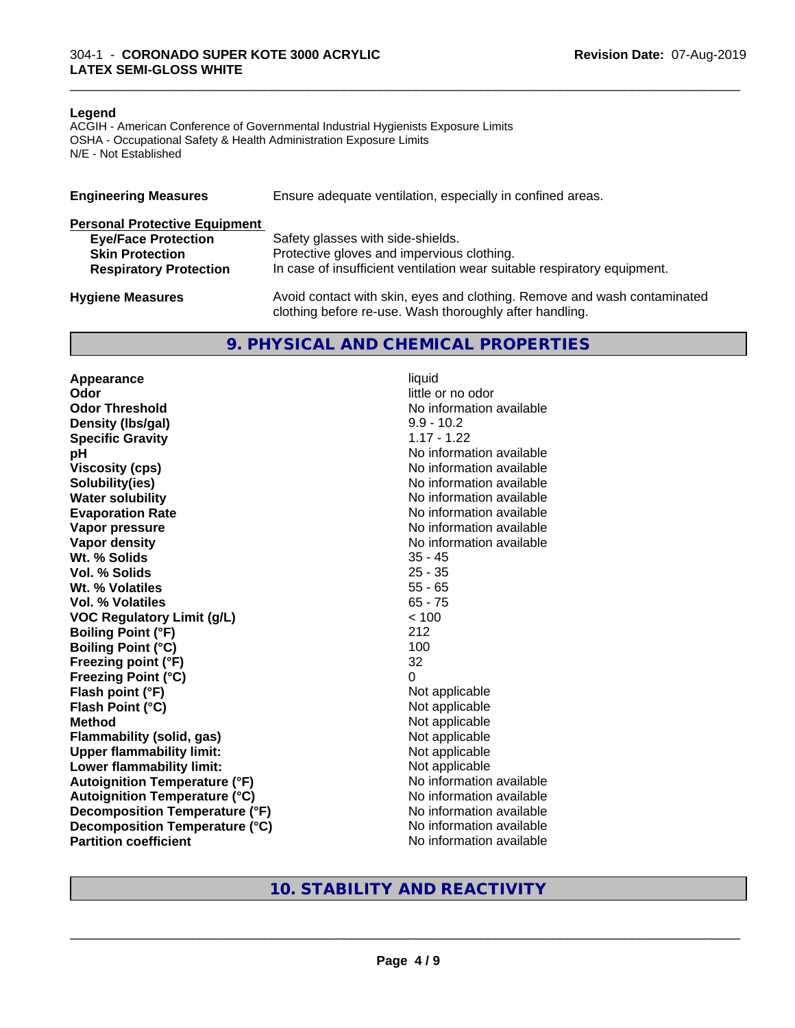#### **Legend**

ACGIH - American Conference of Governmental Industrial Hygienists Exposure Limits OSHA - Occupational Safety & Health Administration Exposure Limits N/E - Not Established

| <b>Engineering Measures</b>          | Ensure adequate ventilation, especially in confined areas.                                                                          |
|--------------------------------------|-------------------------------------------------------------------------------------------------------------------------------------|
| <b>Personal Protective Equipment</b> |                                                                                                                                     |
| <b>Eye/Face Protection</b>           | Safety glasses with side-shields.                                                                                                   |
| <b>Skin Protection</b>               | Protective gloves and impervious clothing.                                                                                          |
| <b>Respiratory Protection</b>        | In case of insufficient ventilation wear suitable respiratory equipment.                                                            |
| <b>Hygiene Measures</b>              | Avoid contact with skin, eyes and clothing. Remove and wash contaminated<br>clothing before re-use. Wash thoroughly after handling. |

# **9. PHYSICAL AND CHEMICAL PROPERTIES**

**Appearance** liquid **Odor** little or no odor **Odor Threshold No information available No information available Density (lbs/gal)** 9.9 - 10.2<br> **Specific Gravity** 1.17 - 1.22 **Specific Gravity pH pH**  $\blacksquare$ **Viscosity (cps)** No information available **Solubility(ies)** No information available **Water solubility** No information available **Evaporation Rate No information available No information available Vapor pressure** No information available **No information available Vapor density**<br> **We Solids**<br>
We Solids
25 - 45 Wt. % Solids **Vol. % Solids** 25 - 35 **Wt. % Volatiles** 55 - 65 **Vol. % Volatiles** 65 - 75 **VOC Regulatory Limit (g/L)** < 100 **Boiling Point (°F)** 212 **Boiling Point (°C)** 100 **Freezing point (°F)** 32 **Freezing Point (°C)** 0 **Flash point (°F)**<br> **Flash Point (°C)**<br> **Flash Point (°C)**<br> **C Flash Point (°C)**<br>Method **Flammability (solid, gas)**<br> **Upper flammability limit:** Not applicable Not applicable **Upper flammability limit:**<br> **Lower flammability limit:**<br>
Not applicable<br>
Not applicable **Lower flammability limit: Autoignition Temperature (°F)** No information available **Autoignition Temperature (°C)** No information available **Decomposition Temperature (°F)** No information available **Decomposition Temperature (°C)** No information available **Partition coefficient** No information available

**Not applicable**<br>Not applicable

\_\_\_\_\_\_\_\_\_\_\_\_\_\_\_\_\_\_\_\_\_\_\_\_\_\_\_\_\_\_\_\_\_\_\_\_\_\_\_\_\_\_\_\_\_\_\_\_\_\_\_\_\_\_\_\_\_\_\_\_\_\_\_\_\_\_\_\_\_\_\_\_\_\_\_\_\_\_\_\_\_\_\_\_\_\_\_\_\_\_\_\_\_

# **10. STABILITY AND REACTIVITY**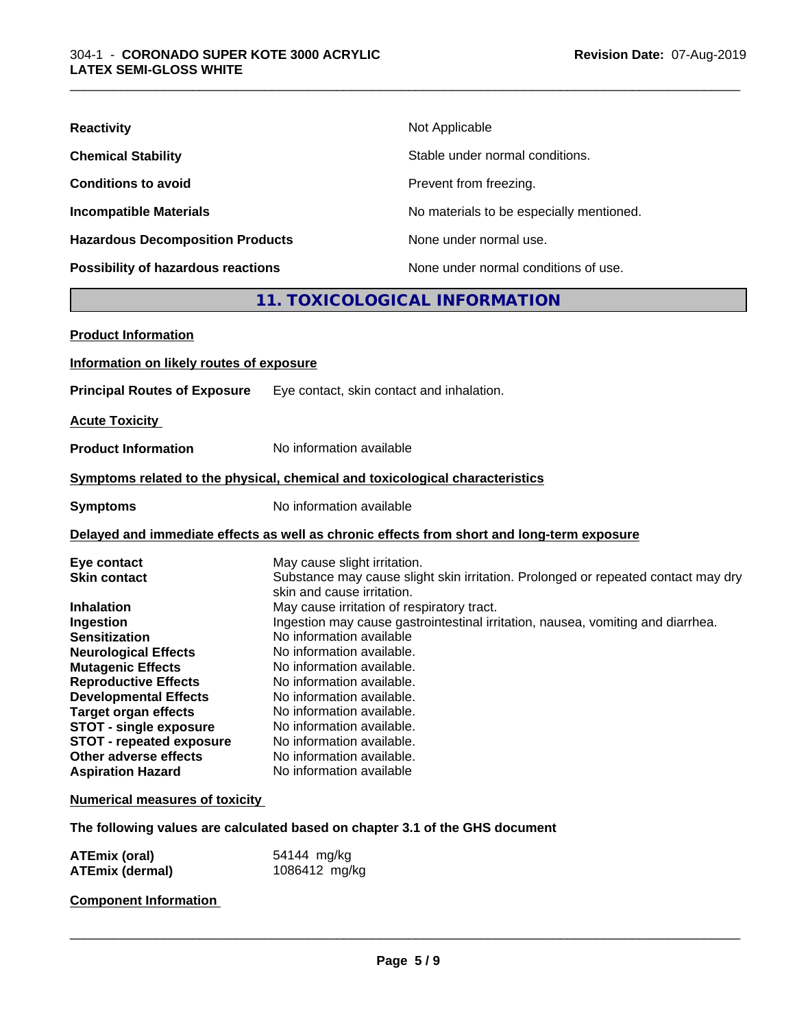| <b>Reactivity</b>                         | Not Applicable                           |
|-------------------------------------------|------------------------------------------|
| <b>Chemical Stability</b>                 | Stable under normal conditions.          |
| <b>Conditions to avoid</b>                | Prevent from freezing.                   |
| <b>Incompatible Materials</b>             | No materials to be especially mentioned. |
| <b>Hazardous Decomposition Products</b>   | None under normal use.                   |
| <b>Possibility of hazardous reactions</b> | None under normal conditions of use.     |

# **11. TOXICOLOGICAL INFORMATION**

\_\_\_\_\_\_\_\_\_\_\_\_\_\_\_\_\_\_\_\_\_\_\_\_\_\_\_\_\_\_\_\_\_\_\_\_\_\_\_\_\_\_\_\_\_\_\_\_\_\_\_\_\_\_\_\_\_\_\_\_\_\_\_\_\_\_\_\_\_\_\_\_\_\_\_\_\_\_\_\_\_\_\_\_\_\_\_\_\_\_\_\_\_

| <b>Product Information</b>                                       |                                                                                                                 |  |  |  |
|------------------------------------------------------------------|-----------------------------------------------------------------------------------------------------------------|--|--|--|
| Information on likely routes of exposure                         |                                                                                                                 |  |  |  |
| <b>Principal Routes of Exposure</b>                              | Eye contact, skin contact and inhalation.                                                                       |  |  |  |
| <b>Acute Toxicity</b>                                            |                                                                                                                 |  |  |  |
| <b>Product Information</b>                                       | No information available                                                                                        |  |  |  |
|                                                                  | Symptoms related to the physical, chemical and toxicological characteristics                                    |  |  |  |
| <b>Symptoms</b>                                                  | No information available                                                                                        |  |  |  |
|                                                                  | Delayed and immediate effects as well as chronic effects from short and long-term exposure                      |  |  |  |
| Eye contact                                                      | May cause slight irritation.                                                                                    |  |  |  |
| <b>Skin contact</b>                                              | Substance may cause slight skin irritation. Prolonged or repeated contact may dry<br>skin and cause irritation. |  |  |  |
| <b>Inhalation</b>                                                | May cause irritation of respiratory tract.                                                                      |  |  |  |
| Ingestion                                                        | Ingestion may cause gastrointestinal irritation, nausea, vomiting and diarrhea.                                 |  |  |  |
| <b>Sensitization</b>                                             | No information available                                                                                        |  |  |  |
| <b>Neurological Effects</b>                                      | No information available.                                                                                       |  |  |  |
| <b>Mutagenic Effects</b>                                         | No information available.                                                                                       |  |  |  |
| <b>Reproductive Effects</b>                                      | No information available.                                                                                       |  |  |  |
| <b>Developmental Effects</b>                                     | No information available.                                                                                       |  |  |  |
| <b>Target organ effects</b>                                      | No information available.                                                                                       |  |  |  |
| <b>STOT - single exposure</b><br><b>STOT - repeated exposure</b> | No information available.<br>No information available.                                                          |  |  |  |
| Other adverse effects                                            | No information available.                                                                                       |  |  |  |
| <b>Aspiration Hazard</b>                                         | No information available                                                                                        |  |  |  |
| <b>Numerical measures of toxicity</b>                            |                                                                                                                 |  |  |  |
|                                                                  | The following values are calculated based on chapter 3.1 of the GHS document                                    |  |  |  |
| ATEmiy (aral)                                                    | $EAAAA$ make                                                                                                    |  |  |  |

| <b>ATEmix (oral)</b>   | 54144 mg/kg   |
|------------------------|---------------|
| <b>ATEmix (dermal)</b> | 1086412 mg/kg |

# **Component Information**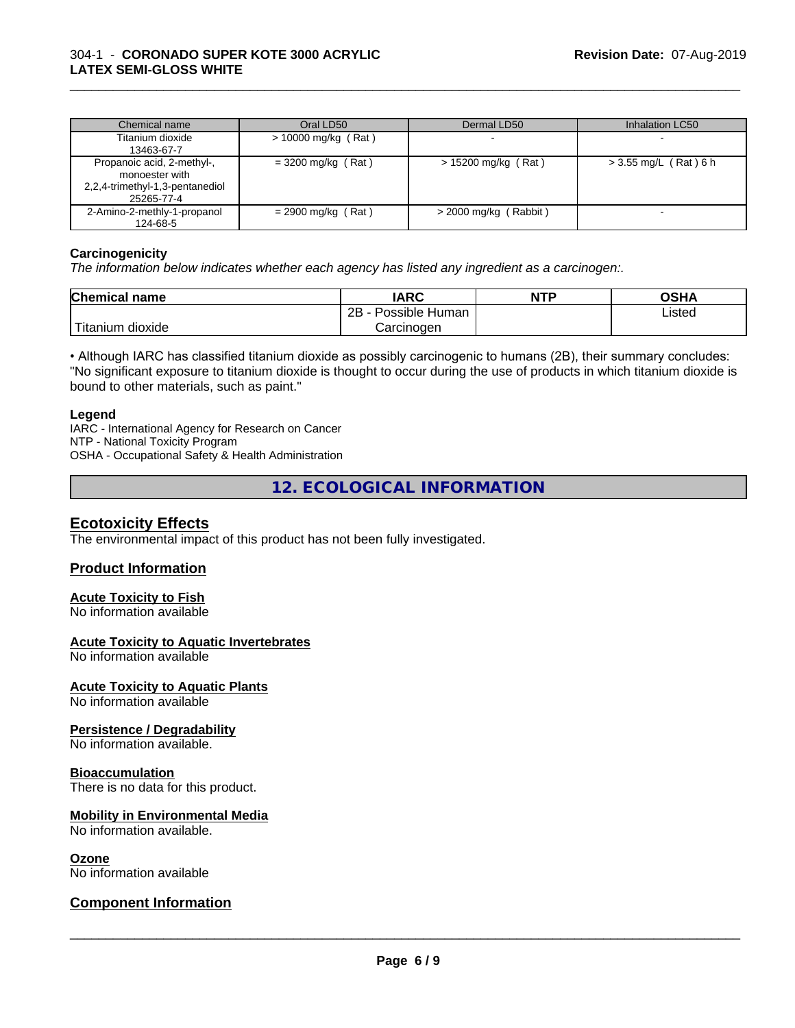| Chemical name                                                                                 | Oral LD50             | Dermal LD50             | Inhalation LC50         |
|-----------------------------------------------------------------------------------------------|-----------------------|-------------------------|-------------------------|
| Titanium dioxide<br>13463-67-7                                                                | $> 10000$ mg/kg (Rat) |                         |                         |
| Propanoic acid, 2-methyl-,<br>monoester with<br>2,2,4-trimethyl-1,3-pentanediol<br>25265-77-4 | $=$ 3200 mg/kg (Rat)  | $> 15200$ mg/kg (Rat)   | $>$ 3.55 mg/L (Rat) 6 h |
| 2-Amino-2-methly-1-propanol<br>124-68-5                                                       | $= 2900$ mg/kg (Rat)  | $>$ 2000 mg/kg (Rabbit) |                         |

\_\_\_\_\_\_\_\_\_\_\_\_\_\_\_\_\_\_\_\_\_\_\_\_\_\_\_\_\_\_\_\_\_\_\_\_\_\_\_\_\_\_\_\_\_\_\_\_\_\_\_\_\_\_\_\_\_\_\_\_\_\_\_\_\_\_\_\_\_\_\_\_\_\_\_\_\_\_\_\_\_\_\_\_\_\_\_\_\_\_\_\_\_

## **Carcinogenicity**

*The information below indicateswhether each agency has listed any ingredient as a carcinogen:.*

| <b>Chemical name</b>         | <b>IARC</b>                             | <b>NTP</b> | <b>OCU</b> |
|------------------------------|-----------------------------------------|------------|------------|
|                              | .<br>2B<br>⊦Human<br>วรรเble<br>$\cdot$ |            | Listed     |
| ı — .<br>dioxide<br>Titanium | Carcinogen                              |            |            |

• Although IARC has classified titanium dioxide as possibly carcinogenic to humans (2B), their summary concludes: "No significant exposure to titanium dioxide is thought to occur during the use of products in which titanium dioxide is bound to other materials, such as paint."

## **Legend**

IARC - International Agency for Research on Cancer NTP - National Toxicity Program OSHA - Occupational Safety & Health Administration

# **12. ECOLOGICAL INFORMATION**

# **Ecotoxicity Effects**

The environmental impact of this product has not been fully investigated.

## **Product Information**

# **Acute Toxicity to Fish**

No information available

# **Acute Toxicity to Aquatic Invertebrates**

No information available

## **Acute Toxicity to Aquatic Plants**

No information available

## **Persistence / Degradability**

No information available.

## **Bioaccumulation**

There is no data for this product.

## **Mobility in Environmental Media**

No information available.

#### **Ozone**

No information available

# **Component Information**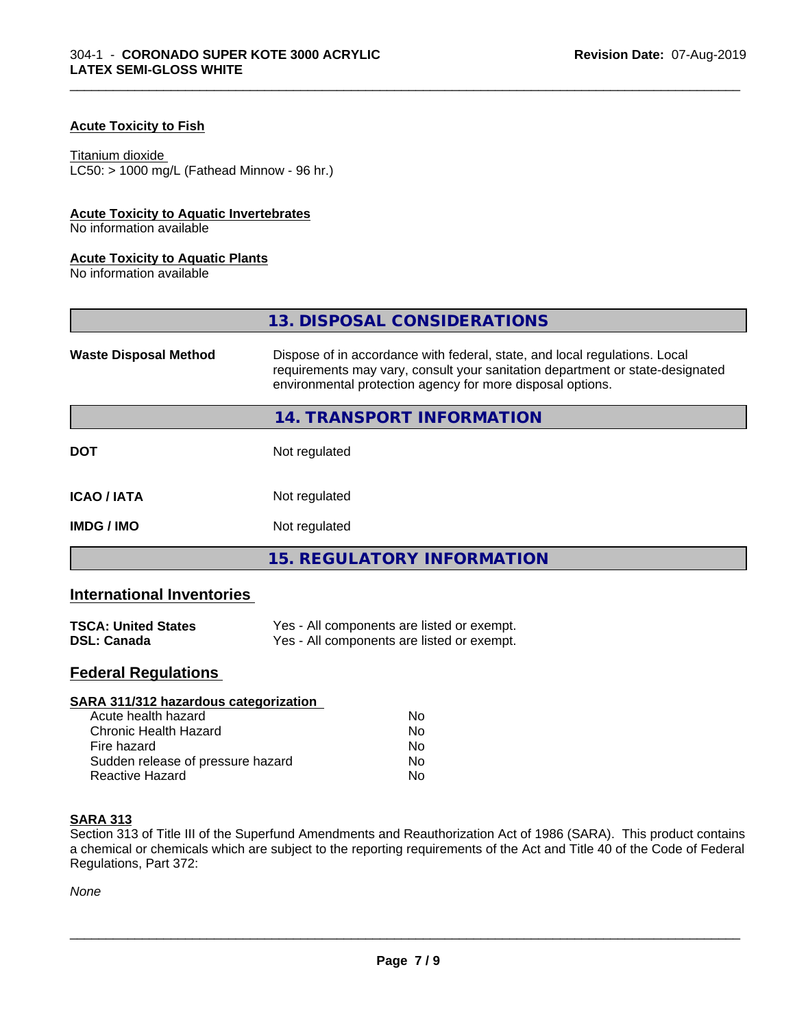# **Acute Toxicity to Fish**

#### Titanium dioxide

 $LC50:$  > 1000 mg/L (Fathead Minnow - 96 hr.)

# **Acute Toxicity to Aquatic Invertebrates**

No information available

## **Acute Toxicity to Aquatic Plants**

No information available

|                              | 13. DISPOSAL CONSIDERATIONS                                                                                                                                                                                               |  |
|------------------------------|---------------------------------------------------------------------------------------------------------------------------------------------------------------------------------------------------------------------------|--|
| <b>Waste Disposal Method</b> | Dispose of in accordance with federal, state, and local regulations. Local<br>requirements may vary, consult your sanitation department or state-designated<br>environmental protection agency for more disposal options. |  |
|                              | 14. TRANSPORT INFORMATION                                                                                                                                                                                                 |  |
| <b>DOT</b>                   | Not regulated                                                                                                                                                                                                             |  |
| <b>ICAO/IATA</b>             | Not regulated                                                                                                                                                                                                             |  |
| <b>IMDG / IMO</b>            | Not regulated                                                                                                                                                                                                             |  |
|                              | <b>15. REGULATORY INFORMATION</b>                                                                                                                                                                                         |  |

\_\_\_\_\_\_\_\_\_\_\_\_\_\_\_\_\_\_\_\_\_\_\_\_\_\_\_\_\_\_\_\_\_\_\_\_\_\_\_\_\_\_\_\_\_\_\_\_\_\_\_\_\_\_\_\_\_\_\_\_\_\_\_\_\_\_\_\_\_\_\_\_\_\_\_\_\_\_\_\_\_\_\_\_\_\_\_\_\_\_\_\_\_

# **International Inventories**

| <b>TSCA: United States</b> | Yes - All components are listed or exempt. |
|----------------------------|--------------------------------------------|
| <b>DSL: Canada</b>         | Yes - All components are listed or exempt. |

# **Federal Regulations**

| SARA 311/312 hazardous categorization |    |  |
|---------------------------------------|----|--|
| Acute health hazard                   | Nο |  |
| Chronic Health Hazard                 | No |  |
| Fire hazard                           | Nο |  |
| Sudden release of pressure hazard     | No |  |
| Reactive Hazard                       | No |  |

## **SARA 313**

Section 313 of Title III of the Superfund Amendments and Reauthorization Act of 1986 (SARA). This product contains a chemical or chemicals which are subject to the reporting requirements of the Act and Title 40 of the Code of Federal Regulations, Part 372:

*None*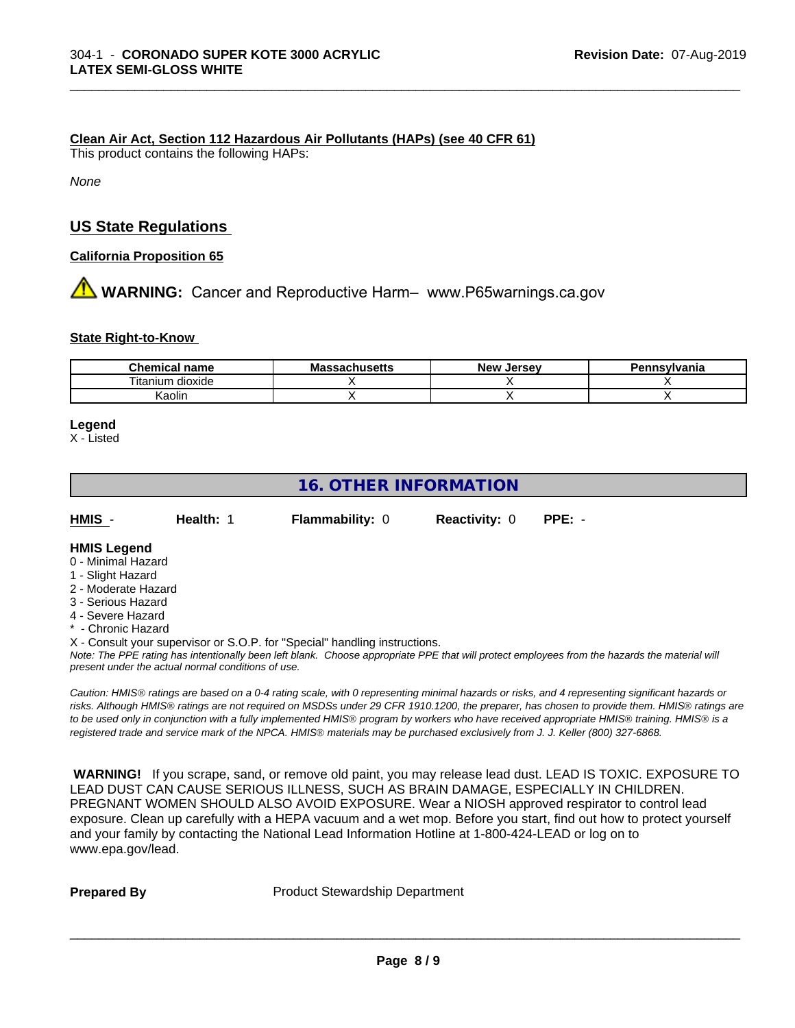#### **Clean Air Act,Section 112 Hazardous Air Pollutants (HAPs) (see 40 CFR 61)**

This product contains the following HAPs:

*None*

# **US State Regulations**

**California Proposition 65**

**AVIMARNING:** Cancer and Reproductive Harm– www.P65warnings.ca.gov

#### **State Right-to-Know**

| <b>Chemical name</b>           | - -<br>IVIA<br>saunustus | <b>Jerse</b> v<br><b>Nev</b> | าทรงIvania |
|--------------------------------|--------------------------|------------------------------|------------|
| <br>--<br>ı itanıum<br>dioxide |                          |                              |            |
| Kaolin                         |                          |                              |            |

\_\_\_\_\_\_\_\_\_\_\_\_\_\_\_\_\_\_\_\_\_\_\_\_\_\_\_\_\_\_\_\_\_\_\_\_\_\_\_\_\_\_\_\_\_\_\_\_\_\_\_\_\_\_\_\_\_\_\_\_\_\_\_\_\_\_\_\_\_\_\_\_\_\_\_\_\_\_\_\_\_\_\_\_\_\_\_\_\_\_\_\_\_

#### **Legend**

X - Listed

# **16. OTHER INFORMATION**

| HMIS | Health: 1 | <b>Flammability: 0</b> | <b>Reactivity: 0 PPE: -</b> |  |  |
|------|-----------|------------------------|-----------------------------|--|--|
|------|-----------|------------------------|-----------------------------|--|--|

# **HMIS Legend**

- 0 Minimal Hazard
- 1 Slight Hazard
- 2 Moderate Hazard
- 3 Serious Hazard
- 4 Severe Hazard
- Chronic Hazard

X - Consult your supervisor or S.O.P. for "Special" handling instructions.

*Note: The PPE rating has intentionally been left blank. Choose appropriate PPE that will protect employees from the hazards the material will present under the actual normal conditions of use.*

*Caution: HMISÒ ratings are based on a 0-4 rating scale, with 0 representing minimal hazards or risks, and 4 representing significant hazards or risks. Although HMISÒ ratings are not required on MSDSs under 29 CFR 1910.1200, the preparer, has chosen to provide them. HMISÒ ratings are to be used only in conjunction with a fully implemented HMISÒ program by workers who have received appropriate HMISÒ training. HMISÒ is a registered trade and service mark of the NPCA. HMISÒ materials may be purchased exclusively from J. J. Keller (800) 327-6868.*

 **WARNING!** If you scrape, sand, or remove old paint, you may release lead dust. LEAD IS TOXIC. EXPOSURE TO LEAD DUST CAN CAUSE SERIOUS ILLNESS, SUCH AS BRAIN DAMAGE, ESPECIALLY IN CHILDREN. PREGNANT WOMEN SHOULD ALSO AVOID EXPOSURE.Wear a NIOSH approved respirator to control lead exposure. Clean up carefully with a HEPA vacuum and a wet mop. Before you start, find out how to protect yourself and your family by contacting the National Lead Information Hotline at 1-800-424-LEAD or log on to www.epa.gov/lead.

**Prepared By** Product Stewardship Department